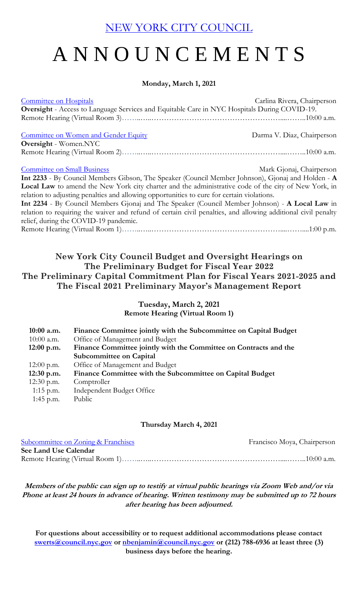[NEW YORK CITY COUNCIL](https://legistar.council.nyc.gov/Calendar.aspx)

# A N N O U N C E M E N T S

#### **Monday, March 1, 2021**

| <b>Committee on Hospitals</b><br>Oversight - Access to Language Services and Equitable Care in NYC Hospitals During COVID-19. | Carlina Rivera, Chairperson |  |
|-------------------------------------------------------------------------------------------------------------------------------|-----------------------------|--|
| Committee on Women and Gender Equity                                                                                          | Darma V. Diaz, Chairperson  |  |
| <b>Oversight</b> - Women.NYC                                                                                                  |                             |  |
|                                                                                                                               |                             |  |
|                                                                                                                               |                             |  |
| <b>Committee on Small Business</b>                                                                                            | Mark Gjonaj, Chairperson    |  |
| Int 2233 - By Council Members Gibson, The Speaker (Council Member Johnson), Gjonaj and Holden - A                             |                             |  |
| Local Law to amend the New York city charter and the administrative code of the city of New York, in                          |                             |  |
| relation to adjusting penalties and allowing opportunities to cure for certain violations.                                    |                             |  |
| Int 2234 - By Council Members Gjonaj and The Speaker (Council Member Johnson) - A Local Law in                                |                             |  |
| relation to requiring the waiver and refund of certain civil penalties, and allowing additional civil penalty                 |                             |  |
| relief, during the COVID-19 pandemic.                                                                                         |                             |  |
|                                                                                                                               |                             |  |

## **New York City Council Budget and Oversight Hearings on The Preliminary Budget for Fiscal Year 2022 The Preliminary Capital Commitment Plan for Fiscal Years 2021-2025 and The Fiscal 2021 Preliminary Mayor's Management Report**

## **Tuesday, March 2, 2021**

**Remote Hearing (Virtual Room 1)**

| $10:00$ a.m. | Finance Committee jointly with the Subcommittee on Capital Budget |
|--------------|-------------------------------------------------------------------|
| $10:00$ a.m. | Office of Management and Budget                                   |
| $12:00$ p.m. | Finance Committee jointly with the Committee on Contracts and the |
|              | <b>Subcommittee on Capital</b>                                    |
| $12:00$ p.m. | Office of Management and Budget                                   |
| $12:30$ p.m. | Finance Committee with the Subcommittee on Capital Budget         |
| $12:30$ p.m. | Comptroller                                                       |
| $1:15$ p.m.  | Independent Budget Office                                         |
| 1:45 p.m.    | Public                                                            |

#### **Thursday March 4, 2021**

| Subcommittee on Zoning & Franchises | Francisco Moya, Chairperson |
|-------------------------------------|-----------------------------|
| See Land Use Calendar               |                             |
|                                     |                             |

**Members of the public can sign up to testify at virtual public hearings via Zoom Web and/or via Phone at least 24 hours in advance of hearing. Written testimony may be submitted up to 72 hours after hearing has been adjourned.**

**For questions about accessibility or to request additional accommodations please contact [swerts@council.nyc.gov](mailto:swerts@council.nyc.gov) or [nbenjamin@council.nyc.gov](mailto:nbenjamin@council.nyc.gov) or (212) 788-6936 at least three (3) business days before the hearing.**